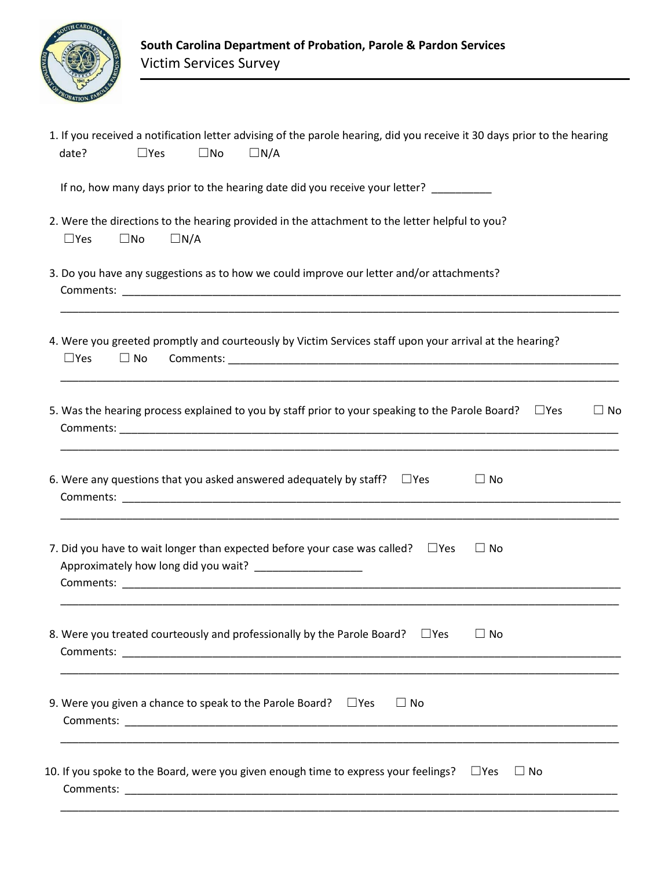

| 1. If you received a notification letter advising of the parole hearing, did you receive it 30 days prior to the hearing<br>$\Box$ Yes<br>$\square$ No<br>$\Box N/A$<br>date?                                                                                                                                                                                                             |
|-------------------------------------------------------------------------------------------------------------------------------------------------------------------------------------------------------------------------------------------------------------------------------------------------------------------------------------------------------------------------------------------|
| If no, how many days prior to the hearing date did you receive your letter? _________                                                                                                                                                                                                                                                                                                     |
| 2. Were the directions to the hearing provided in the attachment to the letter helpful to you?<br>$\Box N/A$<br>$\Box$ Yes<br>$\square$ No                                                                                                                                                                                                                                                |
| 3. Do you have any suggestions as to how we could improve our letter and/or attachments?                                                                                                                                                                                                                                                                                                  |
| 4. Were you greeted promptly and courteously by Victim Services staff upon your arrival at the hearing?<br>$\Box$ Yes<br>$\Box$ No                                                                                                                                                                                                                                                        |
| 5. Was the hearing process explained to you by staff prior to your speaking to the Parole Board?<br>$\square$ Yes<br>$\Box$ No                                                                                                                                                                                                                                                            |
| 6. Were any questions that you asked answered adequately by staff? $\Box$ Yes<br>$\Box$ No                                                                                                                                                                                                                                                                                                |
| 7. Did you have to wait longer than expected before your case was called? $\square$ Yes<br>$\Box$ No<br>Approximately how long did you wait?<br><b>Comments:</b> <u>Comment Comment Comment Comment Comment Comment Comment Comment Comment Comment Comment Comment Comment Comment Comment Comment Comment Comment Comment Comment Comment Comment Comment Comment Comment Comment C</u> |
| 8. Were you treated courteously and professionally by the Parole Board? $\square$ Yes<br>$\Box$ No                                                                                                                                                                                                                                                                                        |
| 9. Were you given a chance to speak to the Parole Board? $\square$ Yes<br>$\Box$ No                                                                                                                                                                                                                                                                                                       |
| 10. If you spoke to the Board, were you given enough time to express your feelings? $\square$ Yes<br>$\Box$ No                                                                                                                                                                                                                                                                            |